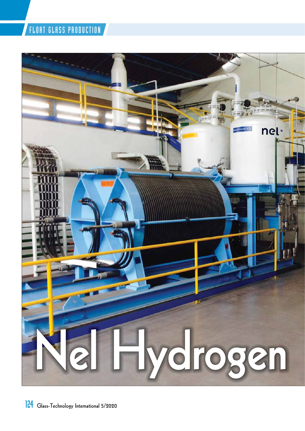# FLOAT GLASS PRODUCTION

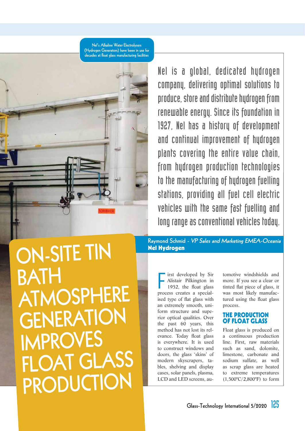**Nel's Alkaline Water Electrolysers (Hydrogen Generators) have been in use for decades at float glass manufacturing facilities**



Nel is a global, dedicated hydrogen company, delivering optimal solutions to produce, store and distribute hydrogen from renewable energy. Since its foundation in 1927, Nel has a history of development and continual improvement of hydrogen plants covering the entire value chain, from hydrogen production technologies to the manufacturing of hydrogen fuelling stations, providing all fuel cell electric vehicles with the same fast fuelling and long range as conventional vehicles today.

**ON-SITE TIN BATH ATMOSPHERE GENERATION IMPROVES FLOAT GLASS PRODUCTION**

**Raymond Schmid - VP Sales and Marketing EMEA-Oceania Nel Hydrogen**

First developed by Sir<br>Alistair Pilkington in<br>1952, the float glass<br>process creates a specialirst developed by Sir Alistair Pilkington in 1952, the float glass ised type of flat glass with an extremely smooth, uniform structure and superior optical qualities. Over the past 60 years, this method has not lost its relevance. Today float glass is everywhere. It is used to construct windows and doors, the glass 'skins' of modern skyscrapers, tables, shelving and display cases, solar panels, plasma, LCD and LED screens, au-

tomotive windshields and more. If you see a clear or tinted flat piece of glass, it was most likely manufactured using the float glass process.

### **THE PRODUCTION OF FLOAT GLASS**

Float glass is produced on a continuous production line. First, raw materials such as sand, dolomite, limestone, carbonate and sodium sulfate, as well as scrap glass are heated to extreme temperatures (1,500°C/2,800°F) to form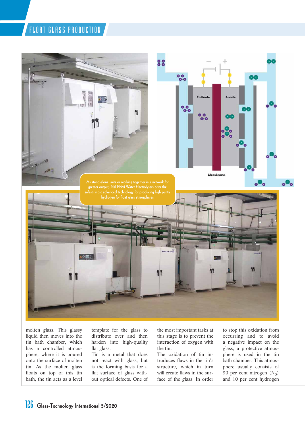## FLOAT GLASS PRODUCTION



molten glass. This glassy liquid then moves into the tin bath chamber, which has a controlled atmosphere, where it is poured onto the surface of molten tin. As the molten glass floats on top of this tin bath, the tin acts as a level template for the glass to distribute over and then harden into high-quality flat glass.

Tin is a metal that does not react with glass, but is the forming basis for a flat surface of glass without optical defects. One of the most important tasks at this stage is to prevent the interaction of oxygen with the tin.

The oxidation of tin introduces flaws in the tin's structure, which in turn will create flaws in the surface of the glass. In order

to stop this oxidation from occurring and to avoid a negative impact on the glass, a protective atmosphere is used in the tin bath chamber. This atmosphere usually consists of 90 per cent nitrogen  $(N_2)$ and 10 per cent hydrogen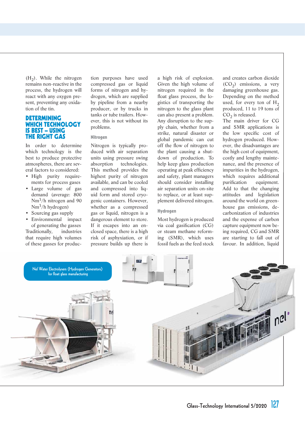$(H<sub>2</sub>)$ . While the nitrogen remains non-reactive in the process, the hydrogen will react with any oxygen present, preventing any oxidation of the tin.

#### **DETERMINING WHICH TECHNOLOGY IS BEST – USING THE RIGHT GAS**

In order to determine which technology is the best to produce protective atmospheres, there are several factors to considered:

- High purity requirements for process gases
- Large volume of gas demand (average: 800  $Nm^3/h$  nitrogen and 90  $Nm^3/h$  hydrogen)
- Sourcing gas supply

• Environmental impact of generating the gasses Traditionally, industries that require high volumes of these gasses for production purposes have used compressed gas or liquid forms of nitrogen and hydrogen, which are supplied by pipeline from a nearby producer, or by trucks in tanks or tube trailers. However, this is not without its problems.

#### **Nitrogen**

Nitrogen is typically produced with air separation units using pressure swing absorption technologies. This method provides the highest purity of nitrogen available, and can be cooled and compressed into liquid form and stored cryogenic containers. However, whether as a compressed gas or liquid, nitrogen is a dangerous element to store. If it escapes into an enclosed space, there is a high risk of asphyxiation, or if pressure builds up there is

a high risk of explosion. Given the high volume of nitrogen required in the float glass process, the logistics of transporting the nitrogen to the glass plant can also present a problem. Any disruption to the supply chain, whether from a strike, natural disaster or global pandemic can cut off the flow of nitrogen to the plant causing a shutdown of production. To help keep glass production operating at peak efficiency and safety, plant managers should consider installing air separation units on-site to replace, or at least supplement delivered nitrogen.

#### **Hydrogen**

Most hydrogen is produced via coal gasification (CG) or steam methane reforming (SMR), which uses fossil fuels as the feed stock and creates carbon dioxide  $(CO<sub>2</sub>)$  emissions, a very damaging greenhouse gas. Depending on the method used, for every ton of  $H_2$ produced, 11 to 19 tons of  $CO<sub>2</sub>$  is released.

The main driver for CG and SMR applications is the low specific cost of hydrogen produced. However, the disadvantages are the high cost of equipment, costly and lengthy maintenance, and the presence of impurities in the hydrogen, which requires additional purification equipment. Add to that the changing attitudes and legislation around the world on greenhouse gas emissions, decarbonization of industries and the expense of carbon capture equipment now being required, CG and SMR are starting to fall out of favour. In addition, liquid